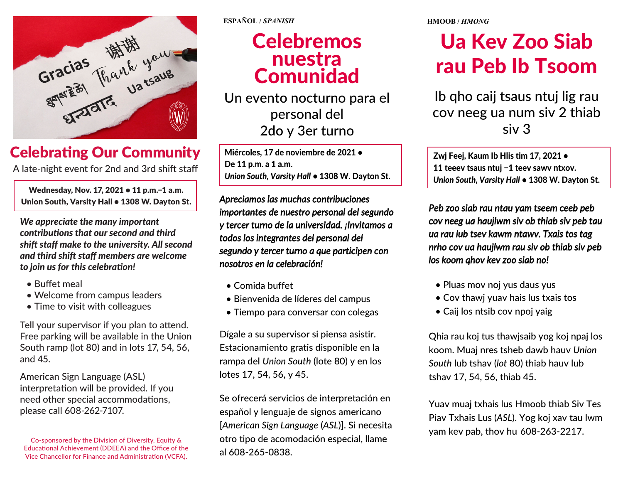

#### Celebrating Our Community

A late-night event for 2nd and 3rd shift staff

Wednesday, Nov. 17, 2021 • 11 p.m.-1 a.m. Union South, Varsity Hall • 1308 W. Dayton St.

*We appreciate the many important contributions that our second and third shift staff make to the university. All second and third shift staff members are welcome to join us for this celebration!* 

- Buffet meal
- Welcome from campus leaders
- Time to visit with colleagues

Tell your supervisor if you plan to attend. Free parking will be available in the Union South ramp (lot 80) and in lots 17, 54, 56, and 45.

American Sign Language (ASL) interpretation will be provided. If you need other special accommodations, please call 608-262-7107.

**ESPAÑOL /** *SPANISH* 

### **A Celebremos Comunidad** nuestra

**नेपाली /** *NEPALI* Un evento nocturno para el personal del 2do y 3er turno

Miércoles, 17 de noviembre de 2021 • De 11 p.m. a 1 a.m. *Union South, Varsity Hall* • 1308 W. Dayton St.

*Apreciamos las muchas contribuciones importantes de nuestro personal del segundo y tercer turno de la universidad. ¡Invitamos a todos los integrantes del personal del segundo y tercer turno a que participen con nosotros en la celebración!*

- Comida buffet
- Bienvenida de líderes del campus
- Tiempo para conversar con colegas

Dígale a su supervisor si piensa asistir. Estacionamiento gratis disponible en la rampa del *Union South* (lote 80) y en los lotes 17, 54, 56, y 45.

Se ofrecerá servicios de interpretación en español y lenguaje de signos americano [*American Sign Language* (*ASL*)]. Si necesita otro tipo de acomodación especial, llame al 608-265-0838.

**HMOOB /** *HMONG*

## rau Peb Ib Tsoom Ua Kev Zoo Siab

**नेपाली /** *NEPALI* Ib qho caij tsaus ntuj lig rau cov neeg ua num siv 2 thiab siv 3

Zwi Feej, Kaum Ib Hlis tim 17, 2021 • 11 teeev tsaus ntuj −1 teev sawv ntxov. *Union South, Varsity Hall* • 1308 W. Dayton St.

*Peb zoo siab rau ntau yam tseem ceeb peb cov neeg ua haujlwm siv ob thiab siv peb tau ua rau lub tsev kawm ntawv. Txais tos tag nrho cov ua haujlwm rau siv ob thiab siv peb los koom qhov kev zoo siab no!*

- Pluas mov noj yus daus yus
- Cov thawj yuav hais lus txais tos
- Caij los ntsib cov npoj yaig

Qhia rau koj tus thawjsaib yog koj npaj los koom. Muaj nres tsheb dawb hauv *Union South* lub tshav (*lot* 80) thiab hauv lub tshav 17, 54, 56, thiab 45.

Yuav muaj txhais lus Hmoob thiab Siv Tes Piav Txhais Lus (*ASL*). Yog koj xav tau lwm yam kev pab, thov hu 608-263-2217.

Co-sponsored by the Division of Diversity, Equity & Educational Achievement (DDEEA) and the Office of the Vice Chancellor for Finance and Administration (VCFA).